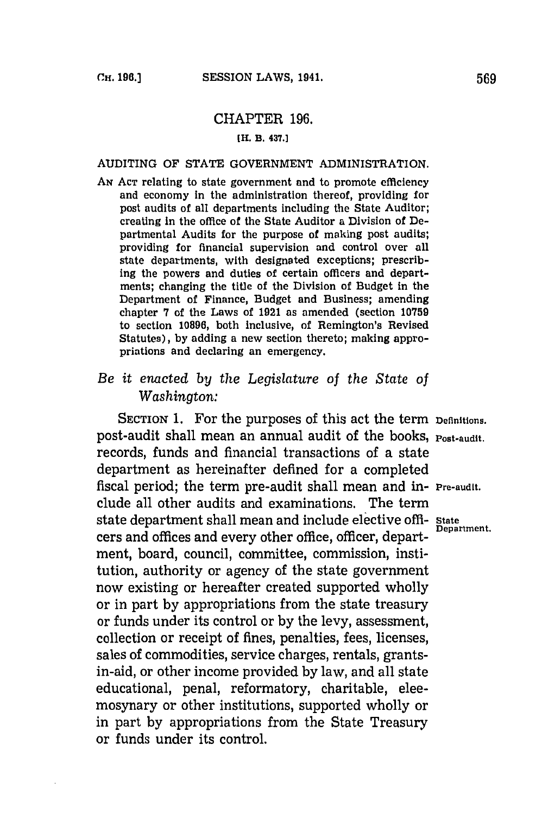# CHAPTER **196.**

#### **[H. B. 437.]**

#### AUDITING OF **STATE GOVERNMENT** ADMINISTRATION.

**AN ACT** relating to state government and to promote efficiency and economy in the administration thereof, providing for post audits of all departments including the State Auditor; creating in the office of the State Auditor a Division of Departmental Audits for the purpose of making post audits; providing for financial supervision and control over all state departments, with designated exceptions; prescribing the powers and duties of certain officers and departments; changing the title of the Division of Budget in the Department of Finance, Budget and Business; amending chapter **7** of the Laws of **1921** as amended (section **10759** to section **10896,** both Inclusive, of Remington's Revised Statutes), **by** adding a new section thereto; making appropriations and declaring an emergency.

# *Be it enacted by the Legislature of the State of Washington:*

SECTION **1.** For the purposes of this act the term **Definitions.** post-audit shall mean an annual audit of the books, **Post-audit.** records, funds and financial transactions of a state department as hereinafter defined for a completed fiscal period; the term pre-audit shall mean and in- **Pre-audit.** clude all other audits and examinations. The term state department shall mean and include elective offi- **State** cers and offices and every other office, officer, department, board, council, committee, commission, institution, authority or agency of the state government now existing or hereafter created supported wholly or in part **by** appropriations from the state treasury or funds under its control or **by** the levy, assessment, collection or receipt of fines, penalties, fees, licenses, sales of commodities, service charges, rentals, grantsin-aid, or other income provided **by** law, and all state educational, penal, reformatory, charitable, eleemosynary or other institutions, supported wholly or in part **by** appropriations from the State Treasury or funds under its control.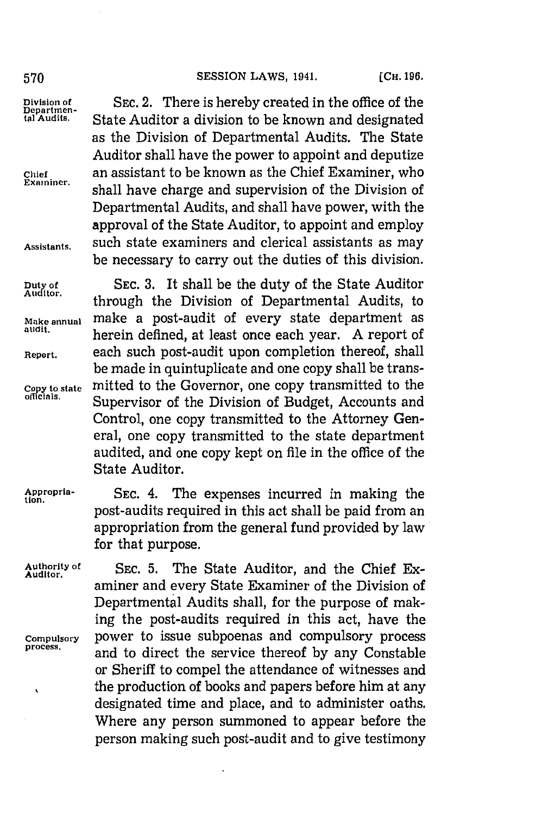# [CH. **196. 570 SESSION** LAWS, 1941.

Division of SEC. 2. There is hereby created in the office of the pepartment.<br> **Begins** State Auditor a division to be known and designated State Auditor a division to be known and designated as the Division of Departmental Audits. The State Auditor shall have the power to appoint and deputize **Chief** an assistant to be known as the Chief Examiner, who shall have charge and supervision of the Division of Departmental Audits, and shall have power, with the approval of the State Auditor, to appoint and employ Assistants. such state examiners and clerical assistants as may be necessary to carry out the duties of this division.

**Duty of** SEC. 3. It shall be the duty of the State Auditor through the Division of Departmental Audits, to **Make annual** make a post-audit of every state department as herein defined, at least once each year. A report of **Report.** each such post-audit upon completion thereof, shall be made in quintuplicate and one copy shall be trans-Copy to state mitted to the Governor, one copy transmitted to the officials. Supervisor of the Division of Budget, Accounts and Control, one copy transmitted to the Attorney General, one copy transmitted to the state department audited, and one copy kept on file in the office of the State Auditor.

 $\cdot$ 

**Appropria- SEC.** 4. The expenses incurred in making the **tion.** post-audits required in this act shall be paid from an appropriation from the general fund provided **by** law for that purpose.

**Authority of SEC. 5.** The State Auditor, and the Chief Ex- **Auditor.** aminer and every State Examiner of the Division of Departmental Audits shall, for the purpose of making the post-audits required in this act, have the **Compulsory** power to issue subpoenas and compulsory process **process,** and to direct the service thereof **by** any Constable or Sheriff to compel the attendance of witnesses and the production of books and papers before him at any designated time and place, and to administer oaths. Where any person summoned to appear before the person making such post-audit and to give testimony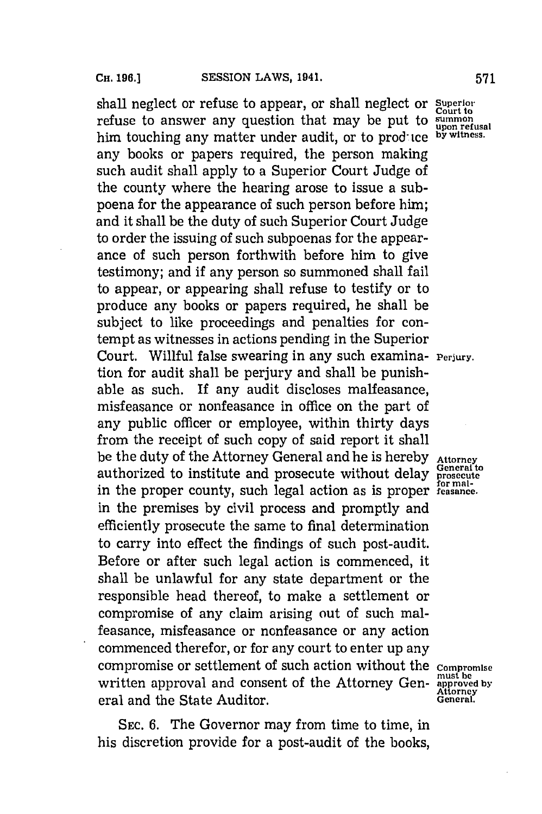shall neglect or refuse to appear, or shall neglect or Superior refuse to answer any question that may be put to **upon** refusal him touching any matter under audit, or to produce **by witness**. any books or papers required, the person making such audit shall apply to a Superior Court Judge of the county where the hearing arose to issue a subpoena for the appearance of such person before him; and it shall be the duty of such Superior Court Judge to order the issuing of such subpoenas for the appearance of such person forthwith before him to give testimony; and if any person so summoned shall fail to appear, or appearing shall refuse to testify or to produce any books or papers required, he shall be subject to like proceedings and penalties for contempt as witnesses in actions pending in the Superior Court. Willful false swearing in any such examina- **Perjury**. tion for audit shall be perjury and shall be punishable as such. If any audit discloses malfeasance, misfeasance or nonfeasance in office on the part of any public officer or employee, within thirty days from the receipt of such copy of said report it shall be the duty of the Attorney General and he is hereby Attorney authorized to institute and prosecute without delay **prosecute**<br>in the wave a contract problem in the structure for mal**for mal-** in the proper county, such legal action as is proper **feasance.** in the premises **by** civil process and promptly and efficiently prosecute the same to final determination to carry into effect the findings of such post-audit. Before or after such legal action is commenced, it shall be unlawful for any state department or the responsible head thereof, to make a settlement or compromise of any claim arising out of such malfeasance, misfeasance or nonfeasance or any action commenced therefor, or for any court to enter up any compromise or settlement of such action without the **Compromise** written approval and consent of the Attorney Gen- must be must be approved by eral and the State Auditor. **General** 

**SEC. 6.** The Governor may from time to time, in his discretion provide for a post-audit of the books,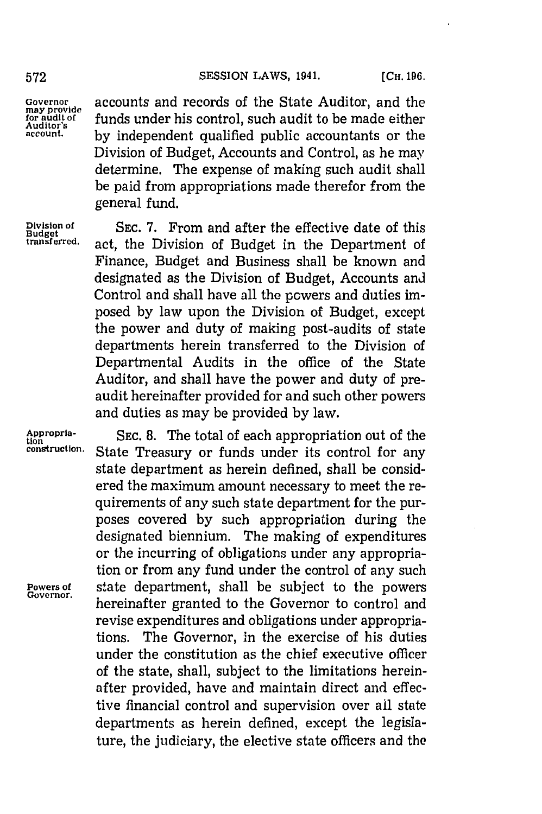### **572 SESSION** LAWS, 1941. **[CH. 196.**

**Governor<br>may provide<br>for audit of** 

**Governor** accounts and records of the State Auditor, and the for audit of funds under his control, such audit to be made either **account, by** independent qualified public accountants or the Division of Budget, Accounts and Control, as he may determine. The expense of making such audit shall be paid from appropriations made therefor from the general fund.

**Division of SEC. 7.** From and after the effective date of this **Budget** act, the Division of Budget in the Department of Finance, Budget and Business shall be known and designated as the Division of Budget, Accounts and Control and shall have all the powers and duties imposed **by** law upon the Division of Budget, except the power and duty of making post-audits of state departments herein transferred to the Division of Departmental Audits in the office of the State Auditor, and shall have the power and duty of preaudit hereinafter provided for and such other powers and duties as may be provided **by** law.

**Appropria- SEC. 8.** The total of each appropriation out of the **tion** State Treasury or funds under its control for any state department as herein defined, shall be considered the maximum amount necessary to meet the requirements of any such state department for the purposes covered **by** such appropriation during the designated biennium. The making of expenditures or the incurring of obligations under any appropriation or from any fund under the control of any such **Powers of** state department, shall be subject to the powers hereinafter granted to the Governor to control and revise expenditures and obligations under appropriations. The Governor, in the exercise of his duties under the constitution as the chief executive officer of the state, shall, subject to the limitations hereinafter provided, have and maintain direct and effective financial control and supervision over ail state departments as herein defined, except the legislature, the judiciary, the elective state officers and the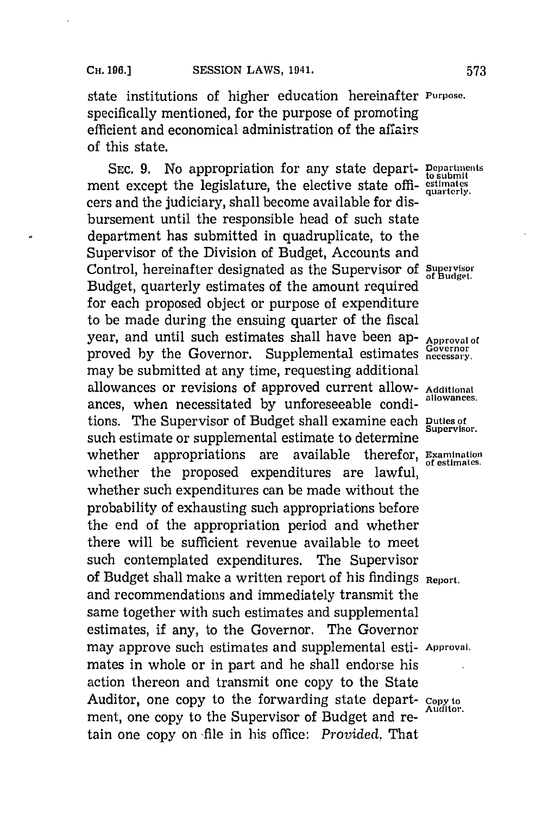# **CH. 196.] SESSION LAWS, 1941. 573**

state institutions of higher education hereinafter **Purpose.** specifically mentioned, for the purpose of promoting efficient and economical administration of the affairs of this state.

SEC. 9. No appropriation for any state depart- **Pepartments** ment except the legislature, the elective state offi- equarterly. cers and the judiciary, shall become available for disbursement until the responsible head of such state department has submitted in quadruplicate, to the Supervisor of the Division of Budget, Accounts and Control, hereinafter designated as the Supervisor of **Supervisor** Budget, quarterly estimates of the amount required for each proposed object or purpose of expenditure to be made during the ensuing quarter of the fiscal year, and until such estimates shall have been ap- **Approval of** proved **by** the Governor. Supplemental estimates **necessary.** may be submitted at any time, requesting additional allowances or revisions of approved current allow- **Additional** ances, when necessitated **by** unforeseeable condi- **allowances.** tions. The Supervisor of Budget shall examine each **Duties of** such estimate or supplemental estimate to determine whether appropriations are available therefor, **Examination** of estimates. whether the proposed expenditures are lawful, whether such expenditures can be made without the probability of exhausting such appropriations before the end of the appropriation period and whether there will be sufficient revenue available to meet such contemplated expenditures. The Supervisor of Budget shall make a written report of his findings **Report.** and recommendations and immediately transmit the same together with such estimates and supplemental estimates, if any, to the Governor. The Governor may approve such estimates and supplemental esti- Approval. mates in whole or in part and he shall endorse his action thereon and transmit one copy to the State Auditor, one copy to the forwarding state depart- **copy to Auditor.** ment, one copy to the Supervisor of Budget and retain one copy on -file in his office: *Provided.* That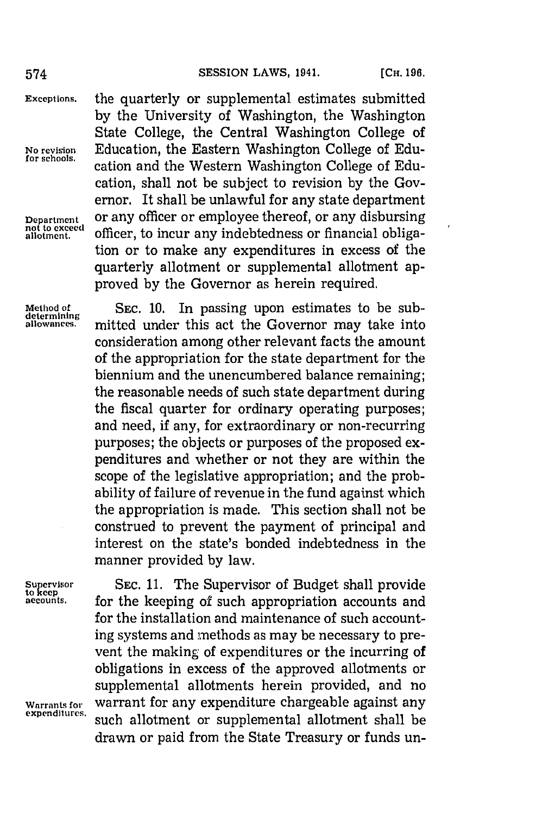**Except ions,** the quarterly or supplemental estimates submitted **by** the University of Washington, the Washington State College, the Central Washington College of **No revision** Education, the Eastern Washington College of Edu**for schools,** cation and the Western Washington College of Education, shall not be subject to revision **by** the Governor. It shall be unlawful for any state department **Department or any officer or employee thereof, or any disbursing** not to exceed **officer**, to incur any indebtedness or financial obligaofficer, to incur any indebtedness or financial obligation or to make any expenditures in excess of the quarterly allotment or supplemental allotment approved **by** the Governor as herein required.

**Method of SEC. 10.** In passing upon estimates to be sub- **determining** mitted under this act the Governor may take into consideration among other relevant facts the amount of the appropriation for the state department for the biennium and the unencumbered balance remaining; the reasonable needs of such state department during the fiscal quarter for ordinary operating purposes; and need, if any, for extraordinary or non-recurring purposes; the objects or purposes of the proposed expenditures and whether or not they are within the scope of the legislative appropriation; and the probability of failure of revenue in the fund against which the appropriation is made. This section shall not be construed to prevent the payment of principal and interest on the state's bonded indebtedness in the manner provided **by** law.

Supervisor SEC. 11. The Supervisor of Budget shall provide to keep *accuns.* for the keeping of such appropriation accounts and for the installation and maintenance of such accounting systems and methods as may be necessary to prevent the making of expenditures or the incurring of obligations in excess of the approved allotments or supplemental allotments herein provided, and no **Warrants for warrant for any expenditure chargeable against any expenditures.** such allotment or supplemental allotment shall be drawn or paid from the State Treasury or funds un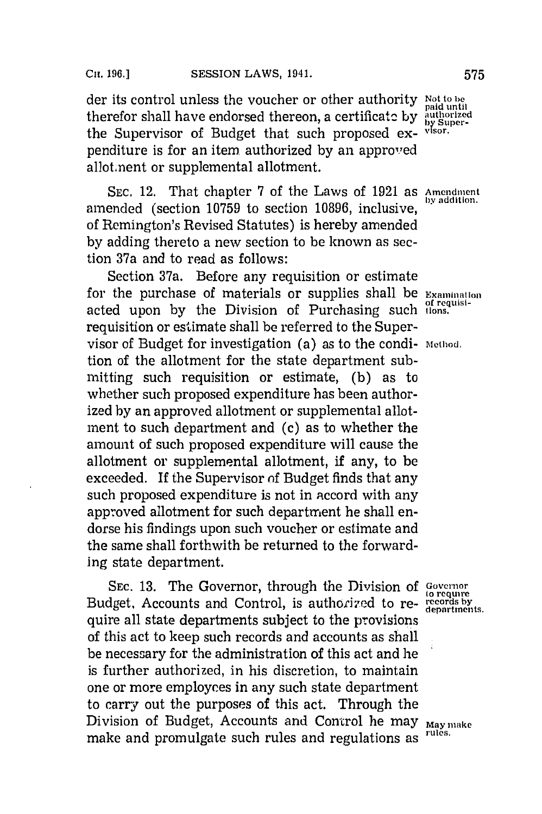der its control unless the voucher or other authority **Not to be** therefor shall have endorsed thereon, a certificate by authorized the Supervisor of Budget that such proposed expenditure is for an item authorized **by** an approved allot.nent or supplemental allotment.

**SEC.** 12. That chapter **7** of the Laws of **1921** as **Amendment** amended (section 10759 to section 10896, inclusive, of Remington's Revised Statutes) is hereby amended **by** adding thereto a new section to be known as section 37a and to read as follows:

Section 37a. Before any requisition or estimate for the purchase of materials or supplies shall be **Examination** acted upon **by** the Division of Purchasing such **lions.** requisition or estimate shall be referred to the Supervisor of Budget for investigation (a) as to the condi- **method.** tion of the allotment for the state department submitting such requisition or estimate, **(b)** as to whether such proposed expenditure has been authorized **by** an approved allotment or supplemental allotment to such department and (c) as to whether the amount of such proposed expenditure will cause the allotment or supplemental allotment, if any, to be exceeded. **If** the Supervisor of Budget finds that any such proposed expenditure is not in accord with any approved allotment for such department he shall endorse his findings upon such voucher or estimate and the same shall forthwith be returned to the forwarding state department.

**SEC. 13.** The Governor, through the Division **of Govenor to require** Budget, Accounts and Control, is authorized to re- **records** by quire all state departments subject to the provisions of this act to keep such records and accounts as shall be necessary for the administration of this act and he is further authorized, in his discretion, to maintain one or more employees in any such state department to carry out the purposes of this act. Through the Division of Budget, Accounts and Control he may **May make** make and promulgate such rules and regulations as <sup>rules.</sup>